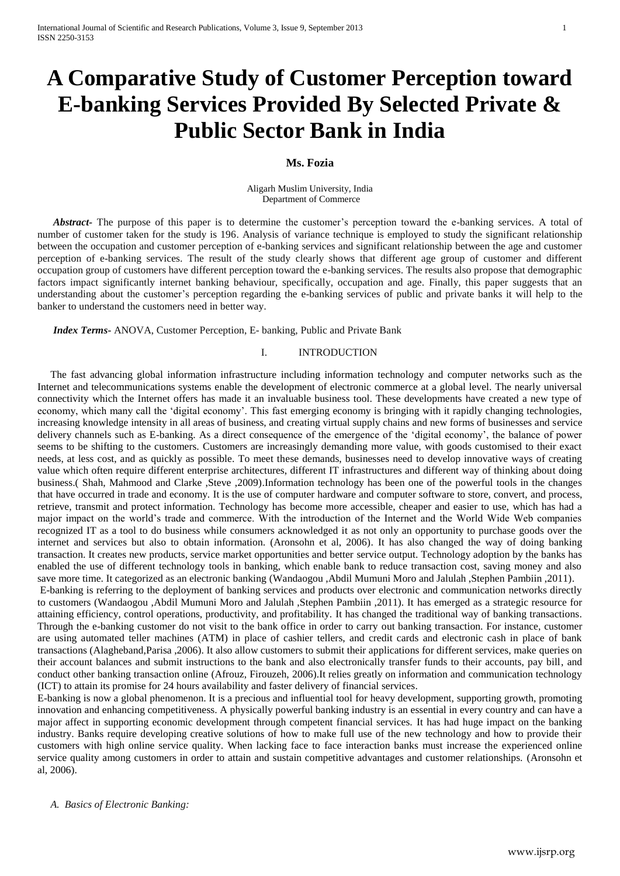# **A Comparative Study of Customer Perception toward E-banking Services Provided By Selected Private & Public Sector Bank in India**

# **Ms. Fozia**

Aligarh Muslim University, India Department of Commerce

 *Abstract-* The purpose of this paper is to determine the customer's perception toward the e-banking services. A total of number of customer taken for the study is 196. Analysis of variance technique is employed to study the significant relationship between the occupation and customer perception of e-banking services and significant relationship between the age and customer perception of e-banking services. The result of the study clearly shows that different age group of customer and different occupation group of customers have different perception toward the e-banking services. The results also propose that demographic factors impact significantly internet banking behaviour, specifically, occupation and age. Finally, this paper suggests that an understanding about the customer's perception regarding the e-banking services of public and private banks it will help to the banker to understand the customers need in better way*.*

 *Index Terms***-** ANOVA, Customer Perception, E- banking, Public and Private Bank

# I. INTRODUCTION

 The fast advancing global information infrastructure including information technology and computer networks such as the Internet and telecommunications systems enable the development of electronic commerce at a global level. The nearly universal connectivity which the Internet offers has made it an invaluable business tool. These developments have created a new type of economy, which many call the 'digital economy'. This fast emerging economy is bringing with it rapidly changing technologies, increasing knowledge intensity in all areas of business, and creating virtual supply chains and new forms of businesses and service delivery channels such as E-banking. As a direct consequence of the emergence of the 'digital economy', the balance of power seems to be shifting to the customers. Customers are increasingly demanding more value, with goods customised to their exact needs, at less cost, and as quickly as possible. To meet these demands, businesses need to develop innovative ways of creating value which often require different enterprise architectures, different IT infrastructures and different way of thinking about doing business.( Shah, Mahmood and Clarke ,Steve ,2009).Information technology has been one of the powerful tools in the changes that have occurred in trade and economy. It is the use of computer hardware and computer software to store, convert, and process, retrieve, transmit and protect information. Technology has become more accessible, cheaper and easier to use, which has had a major impact on the world's trade and commerce. With the introduction of the Internet and the World Wide Web companies recognized IT as a tool to do business while consumers acknowledged it as not only an opportunity to purchase goods over the internet and services but also to obtain information. (Aronsohn et al, 2006). It has also changed the way of doing banking transaction. It creates new products, service market opportunities and better service output. Technology adoption by the banks has enabled the use of different technology tools in banking, which enable bank to reduce transaction cost, saving money and also save more time. It categorized as an electronic banking (Wandaogou ,Abdil Mumuni Moro and Jalulah ,Stephen Pambiin ,2011).

E-banking is referring to the deployment of banking services and products over electronic and communication networks directly to customers (Wandaogou ,Abdil Mumuni Moro and Jalulah ,Stephen Pambiin ,2011). It has emerged as a strategic resource for attaining efficiency, control operations, productivity, and profitability. It has changed the traditional way of banking transactions. Through the e-banking customer do not visit to the bank office in order to carry out banking transaction. For instance, customer are using automated teller machines (ATM) in place of cashier tellers, and credit cards and electronic cash in place of bank transactions (Alagheband,Parisa ,2006). It also allow customers to submit their applications for different services, make queries on their account balances and submit instructions to the bank and also electronically transfer funds to their accounts, pay bill, and conduct other banking transaction online (Afrouz, Firouzeh, 2006).It relies greatly on information and communication technology (ICT) to attain its promise for 24 hours availability and faster delivery of financial services.

E-banking is now a global phenomenon. It is a precious and influential tool for heavy development, supporting growth, promoting innovation and enhancing competitiveness. A physically powerful banking industry is an essential in every country and can have a major affect in supporting economic development through competent financial services. It has had huge impact on the banking industry. Banks require developing creative solutions of how to make full use of the new technology and how to provide their customers with high online service quality. When lacking face to face interaction banks must increase the experienced online service quality among customers in order to attain and sustain competitive advantages and customer relationships. (Aronsohn et al, 2006).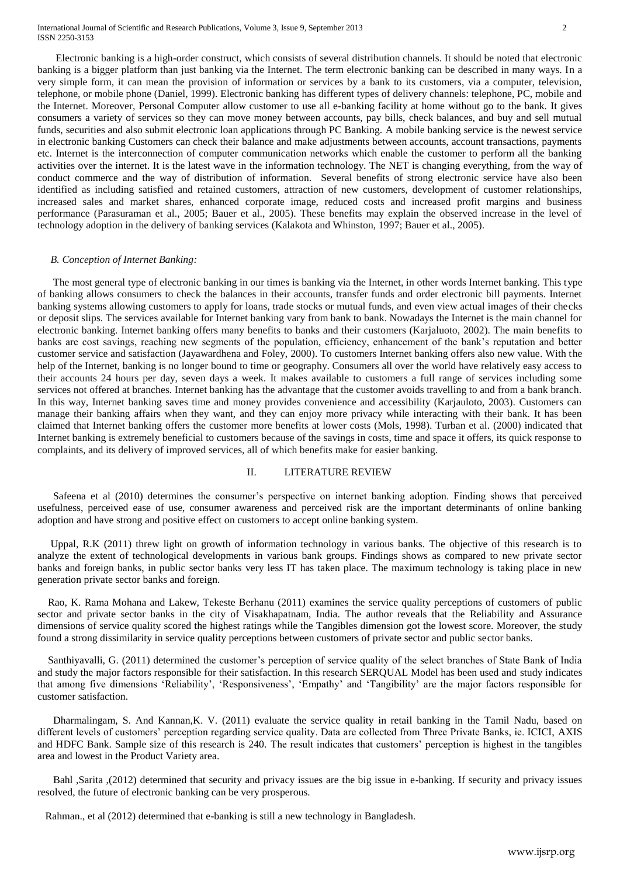Electronic banking is a high-order construct, which consists of several distribution channels. It should be noted that electronic banking is a bigger platform than just banking via the Internet. The term electronic banking can be described in many ways. In a very simple form, it can mean the provision of information or services by a bank to its customers, via a computer, television, telephone, or mobile phone (Daniel, 1999). Electronic banking has different types of delivery channels: telephone, PC, mobile and the Internet. Moreover, Personal Computer allow customer to use all e-banking facility at home without go to the bank. It gives consumers a variety of services so they can move money between accounts, pay bills, check balances, and buy and sell mutual funds, securities and also submit electronic loan applications through PC Banking. A mobile banking service is the newest service in electronic banking Customers can check their balance and make adjustments between accounts, account transactions, payments etc. Internet is the interconnection of computer communication networks which enable the customer to perform all the banking activities over the internet. It is the latest wave in the information technology. The NET is changing everything, from the way of conduct commerce and the way of distribution of information. Several benefits of strong electronic service have also been identified as including satisfied and retained customers, attraction of new customers, development of customer relationships, increased sales and market shares, enhanced corporate image, reduced costs and increased profit margins and business performance (Parasuraman et al., 2005; Bauer et al., 2005). These benefits may explain the observed increase in the level of technology adoption in the delivery of banking services (Kalakota and Whinston, 1997; Bauer et al., 2005).

## *B. Conception of Internet Banking:*

 The most general type of electronic banking in our times is banking via the Internet, in other words Internet banking. This type of banking allows consumers to check the balances in their accounts, transfer funds and order electronic bill payments. Internet banking systems allowing customers to apply for loans, trade stocks or mutual funds, and even view actual images of their checks or deposit slips. The services available for Internet banking vary from bank to bank. Nowadays the Internet is the main channel for electronic banking. Internet banking offers many benefits to banks and their customers (Karjaluoto, 2002). The main benefits to banks are cost savings, reaching new segments of the population, efficiency, enhancement of the bank's reputation and better customer service and satisfaction (Jayawardhena and Foley, 2000). To customers Internet banking offers also new value. With the help of the Internet, banking is no longer bound to time or geography. Consumers all over the world have relatively easy access to their accounts 24 hours per day, seven days a week. It makes available to customers a full range of services including some services not offered at branches. Internet banking has the advantage that the customer avoids travelling to and from a bank branch. In this way, Internet banking saves time and money provides convenience and accessibility (Karjauloto, 2003). Customers can manage their banking affairs when they want, and they can enjoy more privacy while interacting with their bank. It has been claimed that Internet banking offers the customer more benefits at lower costs (Mols, 1998). Turban et al. (2000) indicated that Internet banking is extremely beneficial to customers because of the savings in costs, time and space it offers, its quick response to complaints, and its delivery of improved services, all of which benefits make for easier banking.

### II. LITERATURE REVIEW

 Safeena et al (2010) determines the consumer's perspective on internet banking adoption. Finding shows that perceived usefulness, perceived ease of use, consumer awareness and perceived risk are the important determinants of online banking adoption and have strong and positive effect on customers to accept online banking system.

 Uppal, R.K (2011) threw light on growth of information technology in various banks. The objective of this research is to analyze the extent of technological developments in various bank groups. Findings shows as compared to new private sector banks and foreign banks, in public sector banks very less IT has taken place. The maximum technology is taking place in new generation private sector banks and foreign.

 Rao, K. Rama Mohana and Lakew, Tekeste Berhanu (2011) examines the service quality perceptions of customers of public sector and private sector banks in the city of Visakhapatnam, India. The author reveals that the Reliability and Assurance dimensions of service quality scored the highest ratings while the Tangibles dimension got the lowest score. Moreover, the study found a strong dissimilarity in service quality perceptions between customers of private sector and public sector banks.

 Santhiyavalli, G. (2011) determined the customer's perception of service quality of the select branches of State Bank of India and study the major factors responsible for their satisfaction. In this research SERQUAL Model has been used and study indicates that among five dimensions 'Reliability', 'Responsiveness', 'Empathy' and 'Tangibility' are the major factors responsible for customer satisfaction.

 Dharmalingam, S. And Kannan,K. V. (2011) evaluate the service quality in retail banking in the Tamil Nadu, based on different levels of customers' perception regarding service quality. Data are collected from Three Private Banks, ie. ICICI, AXIS and HDFC Bank. Sample size of this research is 240. The result indicates that customers' perception is highest in the tangibles area and lowest in the Product Variety area.

 Bahl ,Sarita ,(2012) determined that security and privacy issues are the big issue in e-banking. If security and privacy issues resolved, the future of electronic banking can be very prosperous.

Rahman., et al (2012) determined that e-banking is still a new technology in Bangladesh.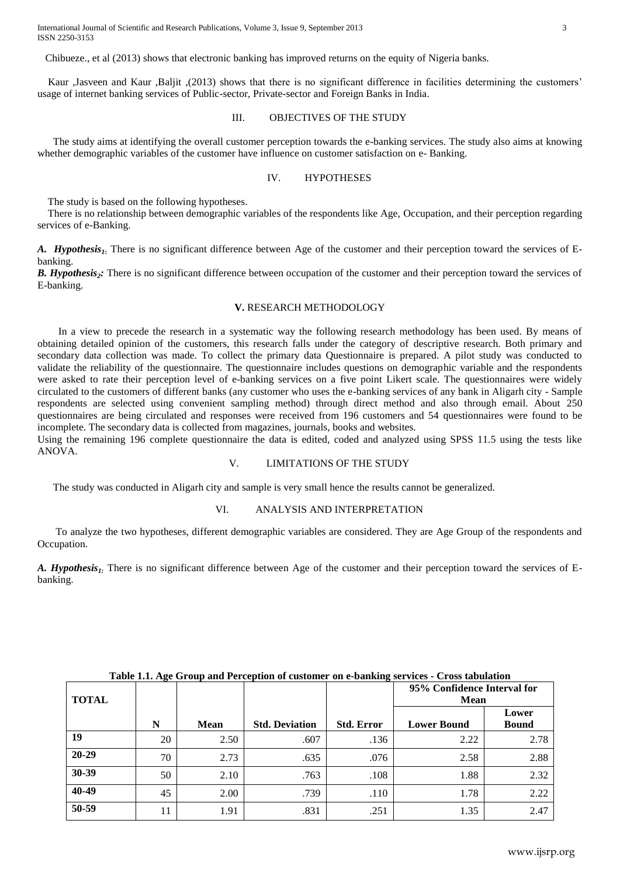International Journal of Scientific and Research Publications, Volume 3, Issue 9, September 2013 3 ISSN 2250-3153

Chibueze., et al (2013) shows that electronic banking has improved returns on the equity of Nigeria banks.

Kaur ,Jasveen and Kaur ,Baljit ,(2013) shows that there is no significant difference in facilities determining the customers' usage of internet banking services of Public-sector, Private-sector and Foreign Banks in India.

# III. OBJECTIVES OF THE STUDY

 The study aims at identifying the overall customer perception towards the e-banking services. The study also aims at knowing whether demographic variables of the customer have influence on customer satisfaction on e- Banking.

# IV. HYPOTHESES

The study is based on the following hypotheses.

 There is no relationship between demographic variables of the respondents like Age, Occupation, and their perception regarding services of e-Banking.

*A. Hypothesis1***:** There is no significant difference between Age of the customer and their perception toward the services of Ebanking.

*B. Hypothesis2:* There is no significant difference between occupation of the customer and their perception toward the services of E-banking.

# **V.** RESEARCH METHODOLOGY

 In a view to precede the research in a systematic way the following research methodology has been used. By means of obtaining detailed opinion of the customers, this research falls under the category of descriptive research. Both primary and secondary data collection was made. To collect the primary data Questionnaire is prepared. A pilot study was conducted to validate the reliability of the questionnaire. The questionnaire includes questions on demographic variable and the respondents were asked to rate their perception level of e-banking services on a five point Likert scale. The questionnaires were widely circulated to the customers of different banks (any customer who uses the e-banking services of any bank in Aligarh city - Sample respondents are selected using convenient sampling method) through direct method and also through email. About 250 questionnaires are being circulated and responses were received from 196 customers and 54 questionnaires were found to be incomplete. The secondary data is collected from magazines, journals, books and websites.

Using the remaining 196 complete questionnaire the data is edited, coded and analyzed using SPSS 11.5 using the tests like ANOVA.

# V. LIMITATIONS OF THE STUDY

The study was conducted in Aligarh city and sample is very small hence the results cannot be generalized.

# VI. ANALYSIS AND INTERPRETATION

 To analyze the two hypotheses, different demographic variables are considered. They are Age Group of the respondents and Occupation.

*A. Hypothesis1:* There is no significant difference between Age of the customer and their perception toward the services of Ebanking.

| <b>TOTAL</b> | ັ  |      |                       | ັ                 | 95% Confidence Interval for<br><b>Mean</b> |                       |  |
|--------------|----|------|-----------------------|-------------------|--------------------------------------------|-----------------------|--|
|              | N  | Mean | <b>Std. Deviation</b> | <b>Std. Error</b> | <b>Lower Bound</b>                         | Lower<br><b>Bound</b> |  |
| 19           | 20 | 2.50 | .607                  | .136              | 2.22                                       | 2.78                  |  |
| $20 - 29$    | 70 | 2.73 | .635                  | .076              | 2.58                                       | 2.88                  |  |
| 30-39        | 50 | 2.10 | .763                  | .108              | 1.88                                       | 2.32                  |  |
| 40-49        | 45 | 2.00 | .739                  | .110              | 1.78                                       | 2.22                  |  |
| 50-59        | 11 | 1.91 | .831                  | .251              | 1.35                                       | 2.47                  |  |

## **Table 1.1. Age Group and Perception of customer on e-banking services - Cross tabulation**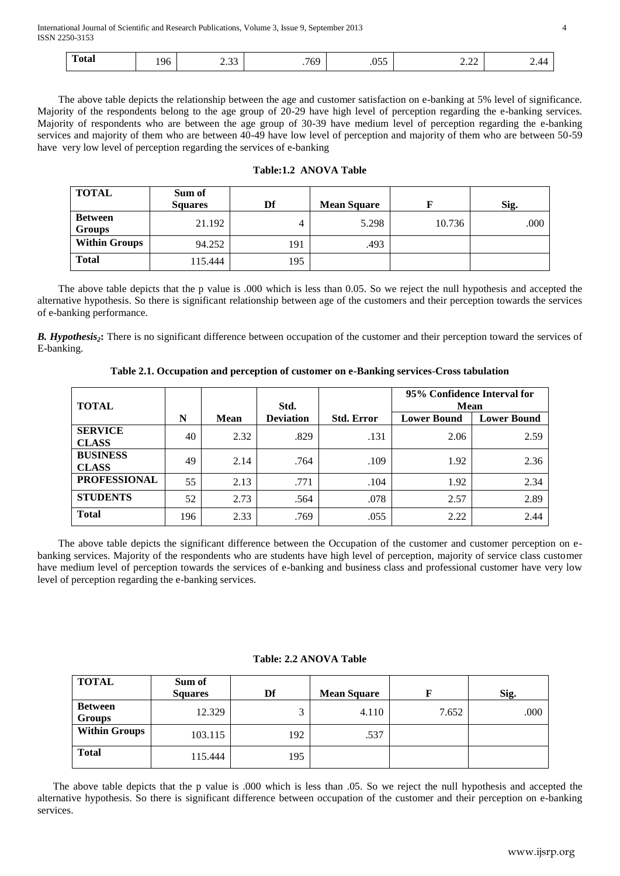The above table depicts the relationship between the age and customer satisfaction on e-banking at 5% level of significance. Majority of the respondents belong to the age group of 20-29 have high level of perception regarding the e-banking services. Majority of respondents who are between the age group of 30-39 have medium level of perception regarding the e-banking services and majority of them who are between 40-49 have low level of perception and majority of them who are between 50-59 have very low level of perception regarding the services of e-banking

| <b>TOTAL</b>                    | Sum of<br><b>Squares</b> | Df  | <b>Mean Square</b> | F      | Sig. |
|---------------------------------|--------------------------|-----|--------------------|--------|------|
| <b>Between</b><br><b>Groups</b> | 21.192                   | 4   | 5.298              | 10.736 | .000 |
| <b>Within Groups</b>            | 94.252                   | 191 | .493               |        |      |
| <b>Total</b>                    | 115.444                  | 195 |                    |        |      |

# **Table:1.2 ANOVA Table**

 The above table depicts that the p value is .000 which is less than 0.05. So we reject the null hypothesis and accepted the alternative hypothesis. So there is significant relationship between age of the customers and their perception towards the services of e-banking performance.

**B.** Hypothesis<sub>2</sub>: There is no significant difference between occupation of the customer and their perception toward the services of E-banking.

|  |  |  |  |  |  | Table 2.1. Occupation and perception of customer on e-Banking services-Cross tabulation |
|--|--|--|--|--|--|-----------------------------------------------------------------------------------------|
|--|--|--|--|--|--|-----------------------------------------------------------------------------------------|

| <b>TOTAL</b>                    |     |             | Std.             |                   | 95% Confidence Interval for<br><b>Mean</b> |                    |
|---------------------------------|-----|-------------|------------------|-------------------|--------------------------------------------|--------------------|
|                                 | N   | <b>Mean</b> | <b>Deviation</b> | <b>Std. Error</b> | <b>Lower Bound</b>                         | <b>Lower Bound</b> |
| <b>SERVICE</b><br><b>CLASS</b>  | 40  | 2.32        | .829             | .131              | 2.06                                       | 2.59               |
| <b>BUSINESS</b><br><b>CLASS</b> | 49  | 2.14        | .764             | .109              | 1.92                                       | 2.36               |
| <b>PROFESSIONAL</b>             | 55  | 2.13        | .771             | .104              | 1.92                                       | 2.34               |
| <b>STUDENTS</b>                 | 52  | 2.73        | .564             | .078              | 2.57                                       | 2.89               |
| <b>Total</b>                    | 196 | 2.33        | .769             | .055              | 2.22                                       | 2.44               |

 The above table depicts the significant difference between the Occupation of the customer and customer perception on ebanking services. Majority of the respondents who are students have high level of perception, majority of service class customer have medium level of perception towards the services of e-banking and business class and professional customer have very low level of perception regarding the e-banking services.

| <b>TOTAL</b>             | Sum of         |     |                    |       |      |
|--------------------------|----------------|-----|--------------------|-------|------|
|                          | <b>Squares</b> | Df  | <b>Mean Square</b> | F     | Sig. |
| <b>Between</b><br>Groups | 12.329         |     | 4.110              | 7.652 | .000 |
| <b>Within Groups</b>     | 103.115        | 192 | .537               |       |      |
| <b>Total</b>             | 115.444        | 195 |                    |       |      |

# **Table: 2.2 ANOVA Table**

 The above table depicts that the p value is .000 which is less than .05. So we reject the null hypothesis and accepted the alternative hypothesis. So there is significant difference between occupation of the customer and their perception on e-banking services.